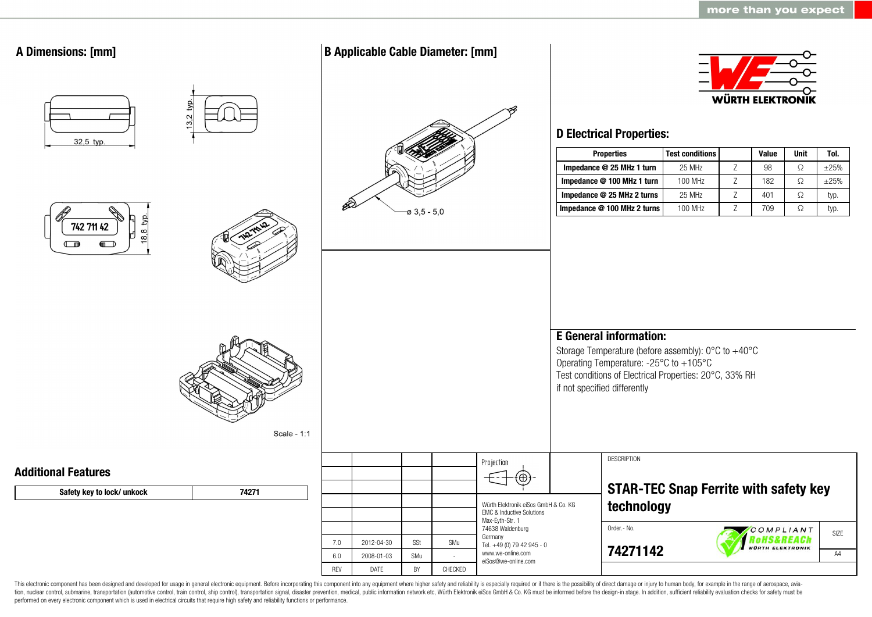

This electronic component has been designed and developed for usage in general electronic equipment. Before incorporating this component into any equipment where higher safety and reliability is especially required or if t tion, nuclear control, submarine, transportation (automotive control, train control, ship control), transportation signal, disaster prevention, medical, public information network etc. Wurth Elektronik eiSos GmbH & Co. KG performed on every electronic component which is used in electrical circuits that require high safety and reliability functions or performance.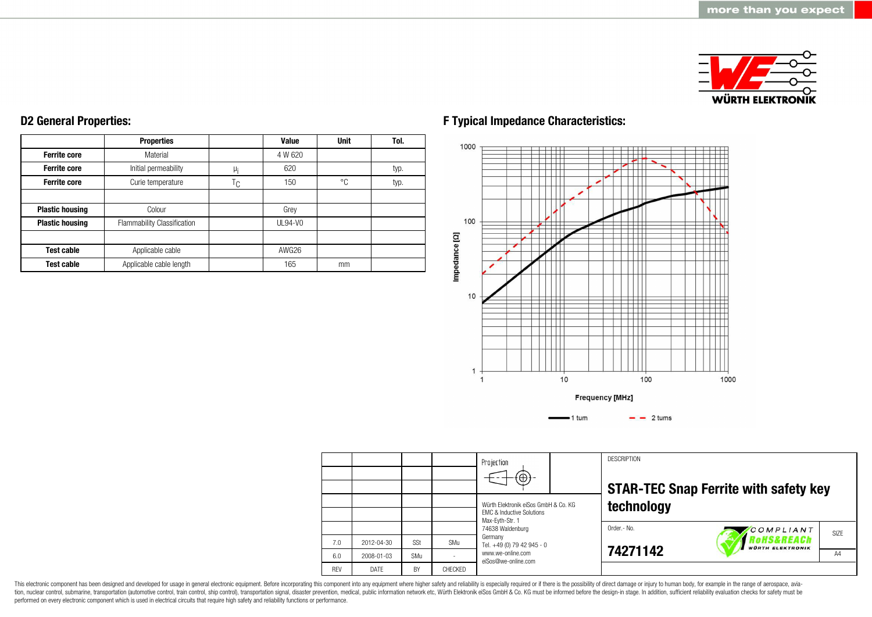

#### **Ferrite core Ferrite core Ferrite core Plastic housing Plastic housing Test cable Test cable Properties** Material Initial permeability Curie temperature Colour Flammability Classification Applicable cable Applicable cable length  $\mu$ <sub>i</sub>  $T_{C}$ **Value** 4 W 620 620 150 Grey UL94-V0 AWG26 165 **Unit** °C mm **Tol.** typ. typ.

**D2 General Properties:**

# **F Typical Impedance Characteristics:**



|            |            |     |                | Projection<br>$\Theta$                                                       |  | <b>DESCRIPTION</b> | <b>STAR-TEC Snap Ferrite with safety key</b>       |      |
|------------|------------|-----|----------------|------------------------------------------------------------------------------|--|--------------------|----------------------------------------------------|------|
|            |            |     |                | Würth Elektronik eiSos GmbH & Co. KG<br><b>FMC &amp; Inductive Solutions</b> |  | technology         |                                                    |      |
|            |            |     |                | Max-Eyth-Str. 1<br>74638 Waldenburg                                          |  | Order.- No.        | COMPLIANT<br>RoHS&REACh<br><b>WÜRTH ELEKTRONIK</b> | SIZE |
| 7.0        | 2012-04-30 | SSt | SMu            | Germany<br>Tel. +49 (0) 79 42 945 - 0                                        |  | 74271142           |                                                    |      |
| 6.0        | 2008-01-03 | SMu |                | www.we-online.com<br>eiSos@we-online.com                                     |  |                    |                                                    | A4   |
| <b>RFV</b> | DATF       | BY  | <b>CHFCKFD</b> |                                                                              |  |                    |                                                    |      |

This electronic component has been designed and developed for usage in general electronic equipment. Before incorporating this component into any equipment where higher safety and reliability is especially required or if t performed on every electronic component which is used in electrical circuits that require high safety and reliability functions or performance.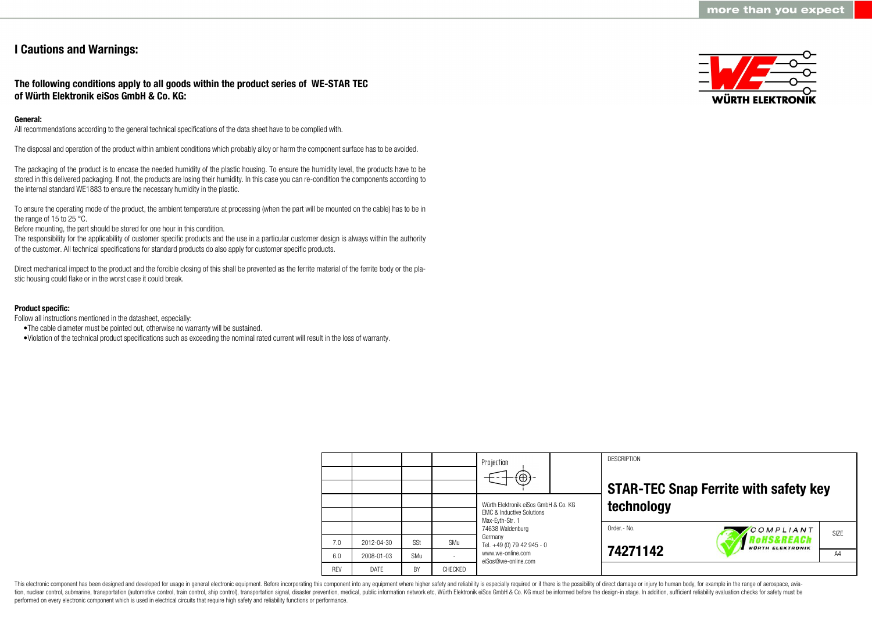# **I Cautions and Warnings:**

# **The following conditions apply to all goods within the product series of WE-STAR TEC of Würth Elektronik eiSos GmbH & Co. KG:**

#### **General:**

All recommendations according to the general technical specifications of the data sheet have to be complied with.

The disposal and operation of the product within ambient conditions which probably alloy or harm the component surface has to be avoided.

The packaging of the product is to encase the needed humidity of the plastic housing. To ensure the humidity level, the products have to be stored in this delivered packaging. If not, the products are losing their humidity. In this case you can re-condition the components according to the internal standard WE1883 to ensure the necessary humidity in the plastic.

To ensure the operating mode of the product, the ambient temperature at processing (when the part will be mounted on the cable) has to be in the range of 15 to 25 °C.

Before mounting, the part should be stored for one hour in this condition.

The responsibility for the applicability of customer specific products and the use in a particular customer design is always within the authority of the customer. All technical specifications for standard products do also apply for customer specific products.

Direct mechanical impact to the product and the forcible closing of this shall be prevented as the ferrite material of the ferrite body or the plastic housing could flake or in the worst case it could break.

#### **Product specific:**

Follow all instructions mentioned in the datasheet, especially:

- •The cable diameter must be pointed out, otherwise no warranty will be sustained.
- •Violation of the technical product specifications such as exceeding the nominal rated current will result in the loss of warranty.

|            |            |     |                | Projection<br>$\left( \oplus \right)$                                                           |  | <b>DESCRIPTION</b> | <b>STAR-TEC Snap Ferrite with safety key</b>                 |      |  |
|------------|------------|-----|----------------|-------------------------------------------------------------------------------------------------|--|--------------------|--------------------------------------------------------------|------|--|
|            |            |     |                | Würth Elektronik eiSos GmbH & Co. KG<br><b>EMC &amp; Inductive Solutions</b><br>Max-Eyth-Str. 1 |  | technology         |                                                              |      |  |
| 7.0        | 2012-04-30 | SSt | SMu            | 74638 Waldenburg<br>Germany<br>Tel. +49 (0) 79 42 945 - 0                                       |  | Order.- No.        | COMPLIANT<br><b>OHS&amp;REACh</b><br><b>WÜRTH ELEKTRONIK</b> | SIZE |  |
| 6.0        | 2008-01-03 | SMu |                | www.we-online.com<br>eiSos@we-online.com                                                        |  | 74271142           |                                                              | A4   |  |
| <b>RFV</b> | DATE       | BY  | <b>CHECKED</b> |                                                                                                 |  |                    |                                                              |      |  |

This electronic component has been designed and developed for usage in general electronic equipment. Before incorporating this component into any equipment where higher safety and reliability is especially required or if t tion, nuclear control, submarine, transportation (automotive control, train control), ship control), transportation signal, disaster prevention, medical, public information network etc. Würth Elektronik eiSos GmbH & Co. KG performed on every electronic component which is used in electrical circuits that require high safety and reliability functions or performance.